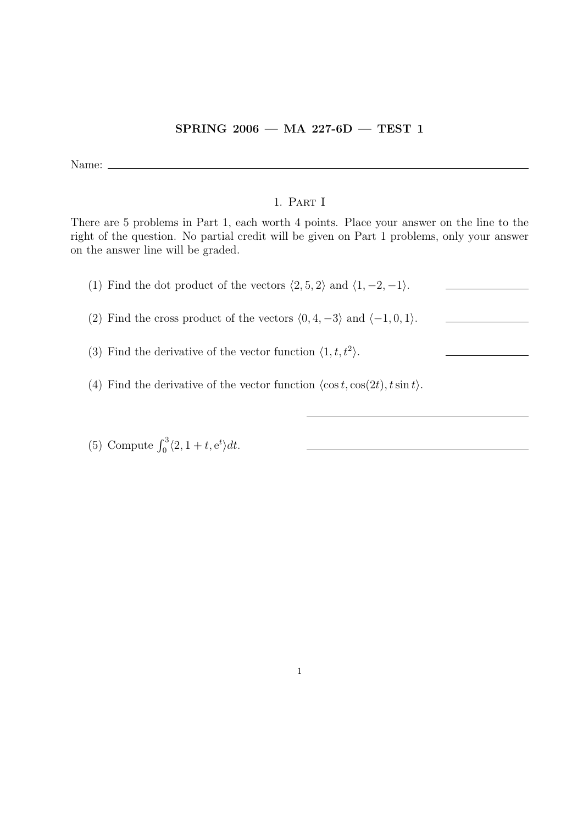## SPRING 2006 — MA 227-6D — TEST 1

Name:  $\_\_$ 

## 1. Part I

There are 5 problems in Part 1, each worth 4 points. Place your answer on the line to the right of the question. No partial credit will be given on Part 1 problems, only your answer on the answer line will be graded.

| (1) Find the dot product of the vectors $\langle 2, 5, 2 \rangle$ and $\langle 1, -2, -1 \rangle$ . |  |
|-----------------------------------------------------------------------------------------------------|--|
| (2) Find the cross product of the vectors $(0, 4, -3)$ and $(-1, 0, 1)$ .                           |  |
| (3) Find the derivative of the vector function $\langle 1, t, t^2 \rangle$ .                        |  |
| (4) Find the derivative of the vector function $\langle \cos t, \cos(2t), t \sin t \rangle$ .       |  |

(5) Compute  $\int_0^3 \langle 2, 1 + t, e^t \rangle dt$ .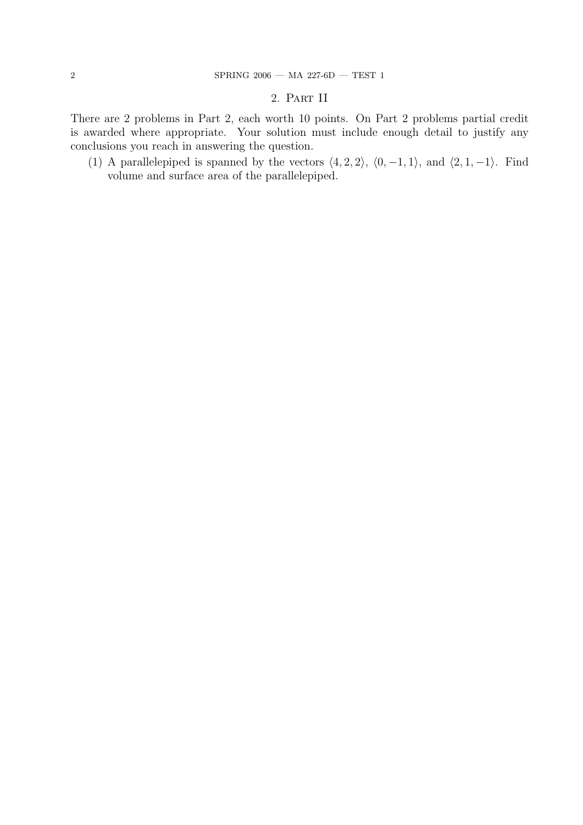## 2. Part II

There are 2 problems in Part 2, each worth 10 points. On Part 2 problems partial credit is awarded where appropriate. Your solution must include enough detail to justify any conclusions you reach in answering the question.

(1) A parallelepiped is spanned by the vectors  $\langle 4, 2, 2 \rangle$ ,  $\langle 0, -1, 1 \rangle$ , and  $\langle 2, 1, -1 \rangle$ . Find volume and surface area of the parallelepiped.